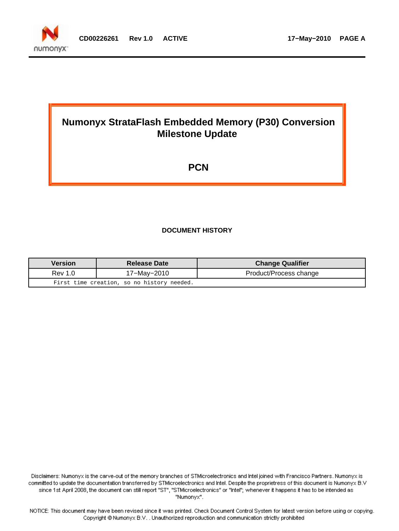

# **Numonyx StrataFlash Embedded Memory (P30) Conversion Milestone Update**

# **PCN**

#### **DOCUMENT HISTORY**

| <b>Version</b> | <b>Release Date</b>                        | <b>Change Qualifier</b> |
|----------------|--------------------------------------------|-------------------------|
| Rev 1.0        | 17-May-2010                                | Product/Process change  |
|                | First time creation, so no history needed. |                         |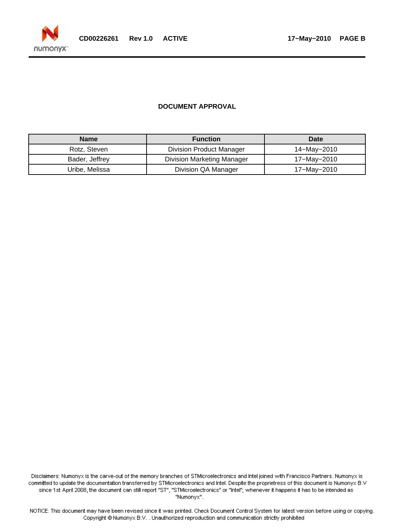

#### **DOCUMENT APPROVAL**

| <b>Name</b>    | <b>Function</b>                   | Date        |
|----------------|-----------------------------------|-------------|
| Rotz, Steven   | Division Product Manager          | 14–May–2010 |
| Bader, Jeffrey | <b>Division Marketing Manager</b> | 17–May–2010 |
| Uribe, Melissa | Division QA Manager               | 17–May–2010 |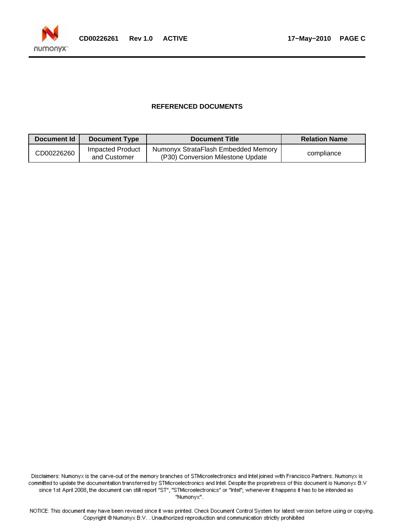

#### **REFERENCED DOCUMENTS**

| Document Id | <b>Document Type</b>             | <b>Document Title</b>                                                    | <b>Relation Name</b> |
|-------------|----------------------------------|--------------------------------------------------------------------------|----------------------|
| CD00226260  | Impacted Product<br>and Customer | Numonyx StrataFlash Embedded Memory<br>(P30) Conversion Milestone Update | compliance           |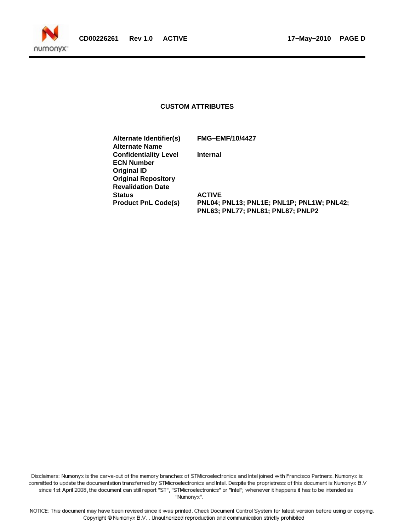

#### **CUSTOM ATTRIBUTES**

**Alternate Identifier(s) FMG−EMF/10/4427 Alternate Name Confidentiality Level Internal ECN Number Original ID Original Repository Revalidation Date Status ACTIVE**

**Product PnL Code(s) PNL04; PNL13; PNL1E; PNL1P; PNL1W; PNL42; PNL63; PNL77; PNL81; PNL87; PNLP2**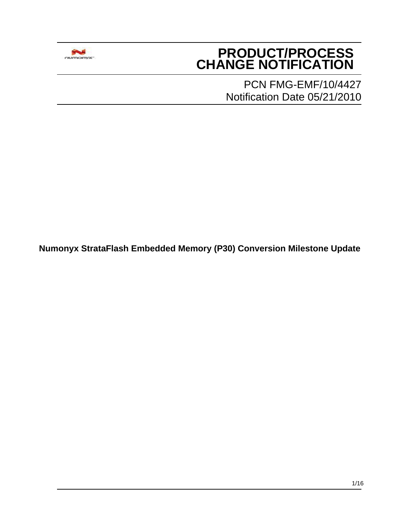

# **PRODUCT/PROCESS CHANGE NOTIFICATION**

PCN FMG-EMF/10/4427 Notification Date 05/21/2010

**Numonyx StrataFlash Embedded Memory (P30) Conversion Milestone Update**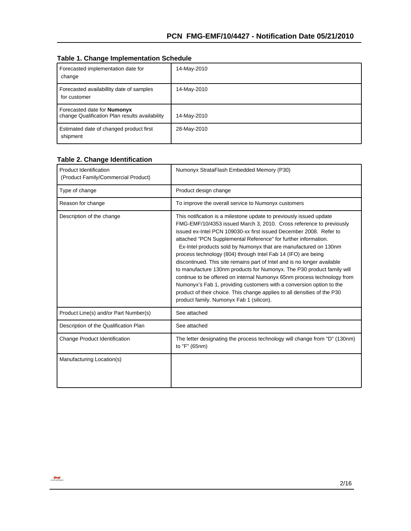|  |  | <b>Table 1. Change Implementation Schedule</b> |  |
|--|--|------------------------------------------------|--|
|--|--|------------------------------------------------|--|

| Forecasted implementation date for<br>change                                         | 14-May-2010 |
|--------------------------------------------------------------------------------------|-------------|
| Forecasted availabillity date of samples<br>for customer                             | 14-May-2010 |
| Forecasted date for <b>Numonyx</b><br>change Qualification Plan results availability | 14-May-2010 |
| Estimated date of changed product first<br>shipment                                  | 28-May-2010 |

#### **Table 2. Change Identification**

| <b>Product Identification</b><br>(Product Family/Commercial Product) | Numonyx StrataFlash Embedded Memory (P30)                                                                                                                                                                                                                                                                                                                                                                                                                                                                                                                                                                                                                                                                                                                                                                                                                |
|----------------------------------------------------------------------|----------------------------------------------------------------------------------------------------------------------------------------------------------------------------------------------------------------------------------------------------------------------------------------------------------------------------------------------------------------------------------------------------------------------------------------------------------------------------------------------------------------------------------------------------------------------------------------------------------------------------------------------------------------------------------------------------------------------------------------------------------------------------------------------------------------------------------------------------------|
| Type of change                                                       | Product design change                                                                                                                                                                                                                                                                                                                                                                                                                                                                                                                                                                                                                                                                                                                                                                                                                                    |
| Reason for change                                                    | To improve the overall service to Numonyx customers                                                                                                                                                                                                                                                                                                                                                                                                                                                                                                                                                                                                                                                                                                                                                                                                      |
| Description of the change                                            | This notification is a milestone update to previously issued update<br>FMG-EMF/10/4353 issued March 3, 2010. Cross reference to previously<br>issued ex-Intel PCN 109030-xx first issued December 2008. Refer to<br>attached "PCN Supplemental Reference" for further information.<br>Ex-Intel products sold by Numonyx that are manufactured on 130nm<br>process technology (804) through Intel Fab 14 (IFO) are being<br>discontinued. This site remains part of Intel and is no longer available<br>to manufacture 130nm products for Numonyx. The P30 product family will<br>continue to be offered on internal Numonyx 65nm process technology from<br>Numonyx's Fab 1, providing customers with a conversion option to the<br>product of their choice. This change applies to all densities of the P30<br>product family. Numonyx Fab 1 (silicon). |
| Product Line(s) and/or Part Number(s)                                | See attached                                                                                                                                                                                                                                                                                                                                                                                                                                                                                                                                                                                                                                                                                                                                                                                                                                             |
| Description of the Qualification Plan                                | See attached                                                                                                                                                                                                                                                                                                                                                                                                                                                                                                                                                                                                                                                                                                                                                                                                                                             |
| Change Product Identification                                        | The letter designating the process technology will change from "D" (130nm)<br>to "F" (65nm)                                                                                                                                                                                                                                                                                                                                                                                                                                                                                                                                                                                                                                                                                                                                                              |
| Manufacturing Location(s)                                            |                                                                                                                                                                                                                                                                                                                                                                                                                                                                                                                                                                                                                                                                                                                                                                                                                                                          |

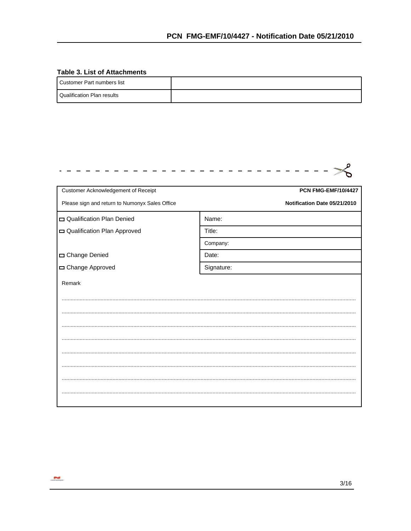#### **Table 3. List of Attachments**

| Customer Part numbers list   |  |
|------------------------------|--|
| l Qualification Plan results |  |

| Customer Acknowledgement of Receipt            | <b>PCN FMG-EMF/10/4427</b>   |
|------------------------------------------------|------------------------------|
| Please sign and return to Numonyx Sales Office | Notification Date 05/21/2010 |
| Qualification Plan Denied                      | Name:                        |
| Qualification Plan Approved                    | Title:                       |
|                                                | Company:                     |
| Change Denied                                  | Date:                        |
| Change Approved                                | Signature:                   |
| Remark                                         |                              |
|                                                |                              |
|                                                |                              |
|                                                |                              |
|                                                |                              |
|                                                |                              |
|                                                |                              |
|                                                |                              |
|                                                |                              |
|                                                |                              |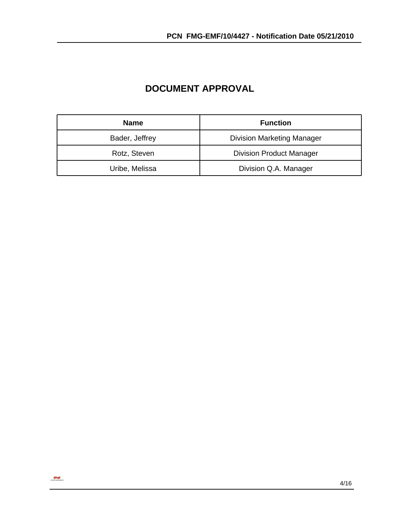| <b>Name</b>    | <b>Function</b>                   |
|----------------|-----------------------------------|
| Bader, Jeffrey | <b>Division Marketing Manager</b> |
| Rotz, Steven   | <b>Division Product Manager</b>   |
| Uribe, Melissa | Division Q.A. Manager             |

# **DOCUMENT APPROVAL**

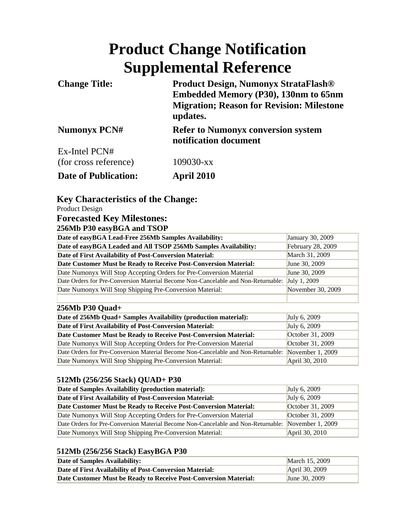# **Product Change Notification Supplemental Reference**

| <b>Change Title:</b>        | <b>Product Design, Numonyx StrataFlash®</b><br>Embedded Memory (P30), 130nm to 65nm<br><b>Migration; Reason for Revision: Milestone</b><br>updates. |  |
|-----------------------------|-----------------------------------------------------------------------------------------------------------------------------------------------------|--|
| <b>Numonyx PCN#</b>         | <b>Refer to Numonyx conversion system</b><br>notification document                                                                                  |  |
| Ex-Intel PCN#               |                                                                                                                                                     |  |
| (for cross reference)       | $109030 - xx$                                                                                                                                       |  |
| <b>Date of Publication:</b> | <b>April 2010</b>                                                                                                                                   |  |

# **Key Characteristics of the Change:**

Product Design

# **Forecasted Key Milestones:**

# **256Mb P30 easyBGA and TSOP**

| Date of easyBGA Lead-Free 256Mb Samples Availability:                             | January 30, 2009  |
|-----------------------------------------------------------------------------------|-------------------|
| Date of easyBGA Leaded and All TSOP 256Mb Samples Availability:                   | February 28, 2009 |
| Date of First Availability of Post-Conversion Material:                           | March 31, 2009    |
| Date Customer Must be Ready to Receive Post-Conversion Material:                  | June 30, 2009     |
| Date Numonyx Will Stop Accepting Orders for Pre-Conversion Material               | June 30, 2009     |
| Date Orders for Pre-Conversion Material Become Non-Cancelable and Non-Returnable: | July 1, 2009      |
| Date Numonyx Will Stop Shipping Pre-Conversion Material:                          | November 30, 2009 |
|                                                                                   |                   |

#### **256Mb P30 Quad+**

| Date of 256Mb Quad+ Samples Availability (production material):                                    | July 6, 2009     |
|----------------------------------------------------------------------------------------------------|------------------|
| Date of First Availability of Post-Conversion Material:                                            | July 6, 2009     |
| Date Customer Must be Ready to Receive Post-Conversion Material:                                   | October 31, 2009 |
| Date Numonyx Will Stop Accepting Orders for Pre-Conversion Material                                | October 31, 2009 |
| Date Orders for Pre-Conversion Material Become Non-Cancelable and Non-Returnable: November 1, 2009 |                  |
| Date Numonyx Will Stop Shipping Pre-Conversion Material:                                           | April 30, 2010   |

#### **512Mb (256/256 Stack) QUAD+ P30**

| Date of Samples Availability (production material):                               | July 6, 2009       |
|-----------------------------------------------------------------------------------|--------------------|
| Date of First Availability of Post-Conversion Material:                           | July 6, 2009       |
| Date Customer Must be Ready to Receive Post-Conversion Material:                  | October 31, 2009   |
| Date Numonyx Will Stop Accepting Orders for Pre-Conversion Material               | October 31, 2009   |
| Date Orders for Pre-Conversion Material Become Non-Cancelable and Non-Returnable: | November $1, 2009$ |
| Date Numonyx Will Stop Shipping Pre-Conversion Material:                          | April 30, 2010     |

# **512Mb (256/256 Stack) EasyBGA P30**

| Date of Samples Availability:                                    | March 15, 2009 |
|------------------------------------------------------------------|----------------|
| Date of First Availability of Post-Conversion Material:          | April 30, 2009 |
| Date Customer Must be Ready to Receive Post-Conversion Material: | June 30, 2009  |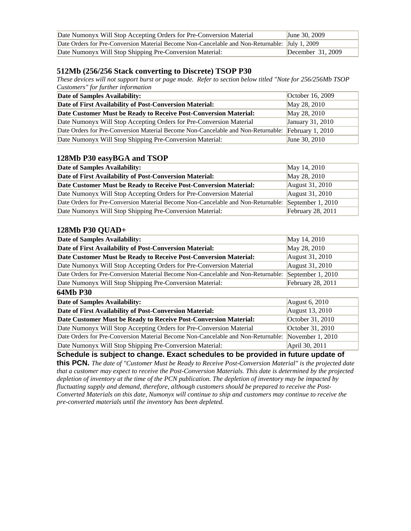| Date Numonyx Will Stop Accepting Orders for Pre-Conversion Material                            | <b>June 30, 2009</b> |
|------------------------------------------------------------------------------------------------|----------------------|
| Date Orders for Pre-Conversion Material Become Non-Cancelable and Non-Returnable: July 1, 2009 |                      |
| Date Numonyx Will Stop Shipping Pre-Conversion Material:                                       | December $31,2009$   |

#### **512Mb (256/256 Stack converting to Discrete) TSOP P30**

*These devices will not support burst or page mode. Refer to section below titled "Note for 256/256Mb TSOP Customers" for further information*

| Date of Samples Availability:                                                     | October 16, 2009  |
|-----------------------------------------------------------------------------------|-------------------|
| Date of First Availability of Post-Conversion Material:                           | May 28, 2010      |
| Date Customer Must be Ready to Receive Post-Conversion Material:                  | May 28, 2010      |
| Date Numonyx Will Stop Accepting Orders for Pre-Conversion Material               | January 31, 2010  |
| Date Orders for Pre-Conversion Material Become Non-Cancelable and Non-Returnable: | February $1,2010$ |
| Date Numonyx Will Stop Shipping Pre-Conversion Material:                          | June 30, 2010     |

#### **128Mb P30 easyBGA and TSOP**

| Date of Samples Availability:                                                                       | May 14, 2010             |
|-----------------------------------------------------------------------------------------------------|--------------------------|
| Date of First Availability of Post-Conversion Material:                                             | May 28, 2010             |
| Date Customer Must be Ready to Receive Post-Conversion Material:                                    | August 31, 2010          |
| Date Numonyx Will Stop Accepting Orders for Pre-Conversion Material                                 | August 31, 2010          |
| Date Orders for Pre-Conversion Material Become Non-Cancelable and Non-Returnable: September 1, 2010 |                          |
| Date Numonyx Will Stop Shipping Pre-Conversion Material:                                            | <b>February 28, 2011</b> |

#### **128Mb P30 QUAD+**

| Date of Samples Availability:                                                     | May 14, 2010        |
|-----------------------------------------------------------------------------------|---------------------|
| Date of First Availability of Post-Conversion Material:                           | May 28, 2010        |
| Date Customer Must be Ready to Receive Post-Conversion Material:                  | August 31, 2010     |
| Date Numonyx Will Stop Accepting Orders for Pre-Conversion Material               | August 31, 2010     |
| Date Orders for Pre-Conversion Material Become Non-Cancelable and Non-Returnable: | September $1,2010$  |
| Date Numonyx Will Stop Shipping Pre-Conversion Material:                          | February $28, 2011$ |

#### **64Mb P30**

| Date of Samples Availability:                                                                      | August 6, 2010   |
|----------------------------------------------------------------------------------------------------|------------------|
| Date of First Availability of Post-Conversion Material:                                            | August 13, 2010  |
| Date Customer Must be Ready to Receive Post-Conversion Material:                                   | October 31, 2010 |
| Date Numonyx Will Stop Accepting Orders for Pre-Conversion Material                                | October 31, 2010 |
| Date Orders for Pre-Conversion Material Become Non-Cancelable and Non-Returnable: November 1, 2010 |                  |
| Date Numonyx Will Stop Shipping Pre-Conversion Material:                                           | April 30, 2011   |

**Schedule is subject to change. Exact schedules to be provided in future update of** 

**this PCN.** *The date of "Customer Must be Ready to Receive Post-Conversion Material" is the projected date that a customer may expect to receive the Post-Conversion Materials. This date is determined by the projected depletion of inventory at the time of the PCN publication. The depletion of inventory may be impacted by fluctuating supply and demand, therefore, although customers should be prepared to receive the Post-Converted Materials on this date, Numonyx will continue to ship and customers may continue to receive the pre-converted materials until the inventory has been depleted.*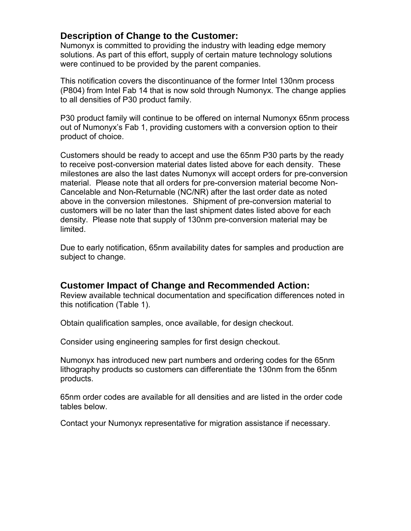# **Description of Change to the Customer:**

Numonyx is committed to providing the industry with leading edge memory solutions. As part of this effort, supply of certain mature technology solutions were continued to be provided by the parent companies.

This notification covers the discontinuance of the former Intel 130nm process (P804) from Intel Fab 14 that is now sold through Numonyx. The change applies to all densities of P30 product family.

P30 product family will continue to be offered on internal Numonyx 65nm process out of Numonyx's Fab 1, providing customers with a conversion option to their product of choice.

Customers should be ready to accept and use the 65nm P30 parts by the ready to receive post-conversion material dates listed above for each density. These milestones are also the last dates Numonyx will accept orders for pre-conversion material. Please note that all orders for pre-conversion material become Non-Cancelable and Non-Returnable (NC/NR) after the last order date as noted above in the conversion milestones. Shipment of pre-conversion material to customers will be no later than the last shipment dates listed above for each density. Please note that supply of 130nm pre-conversion material may be limited.

Due to early notification, 65nm availability dates for samples and production are subject to change.

# **Customer Impact of Change and Recommended Action:**

Review available technical documentation and specification differences noted in this notification (Table 1).

Obtain qualification samples, once available, for design checkout.

Consider using engineering samples for first design checkout.

Numonyx has introduced new part numbers and ordering codes for the 65nm lithography products so customers can differentiate the 130nm from the 65nm products.

65nm order codes are available for all densities and are listed in the order code tables below.

Contact your Numonyx representative for migration assistance if necessary.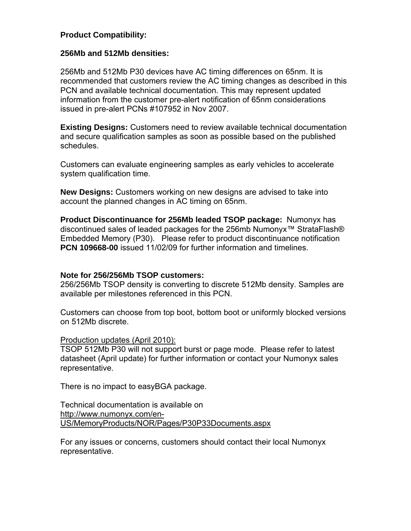# **Product Compatibility:**

#### **256Mb and 512Mb densities:**

256Mb and 512Mb P30 devices have AC timing differences on 65nm. It is recommended that customers review the AC timing changes as described in this PCN and available technical documentation. This may represent updated information from the customer pre-alert notification of 65nm considerations issued in pre-alert PCNs #107952 in Nov 2007.

**Existing Designs:** Customers need to review available technical documentation and secure qualification samples as soon as possible based on the published schedules.

Customers can evaluate engineering samples as early vehicles to accelerate system qualification time.

**New Designs:** Customers working on new designs are advised to take into account the planned changes in AC timing on 65nm.

**Product Discontinuance for 256Mb leaded TSOP package:** Numonyx has discontinued sales of leaded packages for the 256mb Numonyx<sup>™</sup> StrataFlash® Embedded Memory (P30). Please refer to product discontinuance notification **PCN 109668-00** issued 11/02/09 for further information and timelines.

# **Note for 256/256Mb TSOP customers:**

256/256Mb TSOP density is converting to discrete 512Mb density. Samples are available per milestones referenced in this PCN.

Customers can choose from top boot, bottom boot or uniformly blocked versions on 512Mb discrete.

#### Production updates (April 2010):

TSOP 512Mb P30 will not support burst or page mode. Please refer to latest datasheet (April update) for further information or contact your Numonyx sales representative.

There is no impact to easyBGA package.

Technical documentation is available on [http://www.numonyx.com/en-](http://www.numonyx.com/en-US/MemoryProducts/NOR/Pages/P30P33Documents.aspx)[US/MemoryProducts/NOR/Pages/P30P33Documents.aspx](http://www.numonyx.com/en-US/MemoryProducts/NOR/Pages/P30P33Documents.aspx)

For any issues or concerns, customers should contact their local Numonyx representative.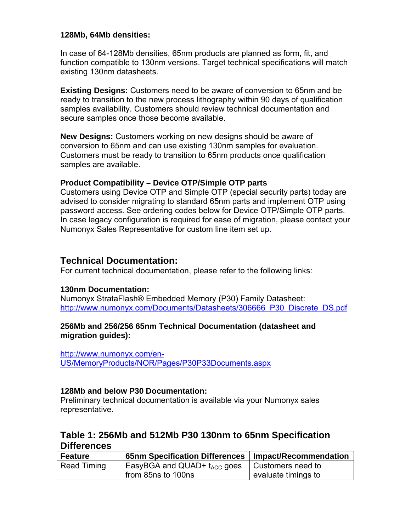#### **128Mb, 64Mb densities:**

In case of 64-128Mb densities, 65nm products are planned as form, fit, and function compatible to 130nm versions. Target technical specifications will match existing 130nm datasheets.

**Existing Designs:** Customers need to be aware of conversion to 65nm and be ready to transition to the new process lithography within 90 days of qualification samples availability. Customers should review technical documentation and secure samples once those become available.

**New Designs:** Customers working on new designs should be aware of conversion to 65nm and can use existing 130nm samples for evaluation. Customers must be ready to transition to 65nm products once qualification samples are available.

# **Product Compatibility – Device OTP/Simple OTP parts**

Customers using Device OTP and Simple OTP (special security parts) today are advised to consider migrating to standard 65nm parts and implement OTP using password access. See ordering codes below for Device OTP/Simple OTP parts. In case legacy configuration is required for ease of migration, please contact your Numonyx Sales Representative for custom line item set up.

# **Technical Documentation:**

For current technical documentation, please refer to the following links:

# **130nm Documentation:**

[Numonyx StrataFlash® Embedded Memory \(P30\) Family Datasheet:](http://www.intel.com/design/flcomp/datashts/306666.htm) [http://www.numonyx.com/Documents/Datasheets/306666\\_P30\\_Discrete\\_DS.pdf](http://www.numonyx.com/Documents/Datasheets/306666_P30_Discrete_DS.pdf)

# **256Mb and 256/256 65nm Technical Documentation (datasheet and migration guides):**

[http://www.numonyx.com/en-](http://www.numonyx.com/en-US/MemoryProducts/NOR/Pages/P30P33Documents.aspx)[US/MemoryProducts/NOR/Pages/P30P33Documents.aspx](http://www.numonyx.com/en-US/MemoryProducts/NOR/Pages/P30P33Documents.aspx)

# **128Mb and below P30 Documentation:**

Preliminary technical documentation is available via your Numonyx sales representative.

# **Table 1: 256Mb and 512Mb P30 130nm to 65nm Specification Differences**

| <b>Feature</b> | 65nm Specification Differences          | Impact/Recommendation          |
|----------------|-----------------------------------------|--------------------------------|
| Read Timing    | EasyBGA and QUAD+ $t_{\text{ACC}}$ goes | <sup>1</sup> Customers need to |
|                | from 85ns to 100ns                      | evaluate timings to            |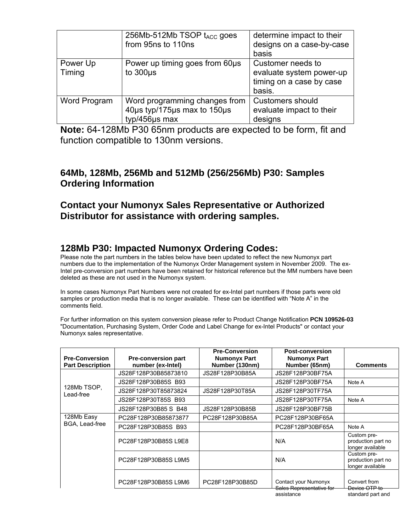|                    | 256Mb-512Mb TSOP t <sub>ACC</sub> goes<br>from 95ns to 110ns                  | determine impact to their<br>designs on a case-by-case<br>basis                     |
|--------------------|-------------------------------------------------------------------------------|-------------------------------------------------------------------------------------|
| Power Up<br>Timing | Power up timing goes from 60us<br>to $300\mu s$                               | Customer needs to<br>evaluate system power-up<br>timing on a case by case<br>basis. |
| Word Program       | Word programming changes from<br>40us typ/175us max to 150us<br>typ/456µs max | <b>Customers should</b><br>evaluate impact to their<br>designs                      |

**Note:** 64-128Mb P30 65nm products are expected to be form, fit and function compatible to 130nm versions.

# **64Mb, 128Mb, 256Mb and 512Mb (256/256Mb) P30: Samples Ordering Information**

# **Contact your Numonyx Sales Representative or Authorized Distributor for assistance with ordering samples.**

# **128Mb P30: Impacted Numonyx Ordering Codes:**

Please note the part numbers in the tables below have been updated to reflect the new Numonyx part numbers due to the implementation of the Numonyx Order Management system in November 2009. The ex-Intel pre-conversion part numbers have been retained for historical reference but the MM numbers have been deleted as these are not used in the Numonyx system.

In some cases Numonyx Part Numbers were not created for ex-Intel part numbers if those parts were old samples or production media that is no longer available. These can be identified with "Note A" in the comments field.

For further information on this system conversion please refer to Product Change Notification **PCN 109526-03** "Documentation, Purchasing System, Order Code and Label Change for ex-Intel Products" or contact your Numonyx sales representative.

| <b>Pre-Conversion</b><br><b>Part Description</b> | <b>Pre-conversion part</b><br>number (ex-Intel) | <b>Pre-Conversion</b><br><b>Numonyx Part</b><br>Number (130nm) | <b>Post-conversion</b><br><b>Numonyx Part</b><br>Number (65nm)                                                                                                               | <b>Comments</b>                                                     |
|--------------------------------------------------|-------------------------------------------------|----------------------------------------------------------------|------------------------------------------------------------------------------------------------------------------------------------------------------------------------------|---------------------------------------------------------------------|
|                                                  | JS28F128P30B85873810                            | JS28F128P30B85A                                                | JS28F128P30BF75A                                                                                                                                                             |                                                                     |
|                                                  | JS28F128P30B85S B93                             |                                                                | JS28F128P30BF75A                                                                                                                                                             | Note A                                                              |
| 128Mb TSOP,<br>Lead-free                         | JS28F128P30T85873824                            | JS28F128P30T85A                                                | JS28F128P30TF75A                                                                                                                                                             |                                                                     |
|                                                  | JS28F128P30T85S B93                             |                                                                | JS28F128P30TF75A                                                                                                                                                             | Note A                                                              |
|                                                  | JS28F128P30B85 S B48                            | JS28F128P30B85B                                                | JS28F128P30BF75B                                                                                                                                                             |                                                                     |
| 128Mb Easy                                       | PC28F128P30B85873877                            | PC28F128P30B85A                                                | PC28F128P30BF65A                                                                                                                                                             |                                                                     |
| BGA, Lead-free                                   | PC28F128P30B85S B93                             |                                                                | PC28F128P30BF65A                                                                                                                                                             | Note A                                                              |
|                                                  | PC28F128P30B85SL9E8                             |                                                                | N/A                                                                                                                                                                          | Custom pre-<br>production part no<br>longer available               |
|                                                  | PC28F128P30B85SL9M5                             |                                                                | N/A                                                                                                                                                                          | Custom pre-<br>production part no<br>longer available               |
|                                                  | PC28F128P30B85SL9M6                             | PC28F128P30B85D                                                | Contact your Numonyx<br>Sales Representative for<br><u>aaalahamaa</u> ka mid marka mid marka 1980 meter ka mid marka 1980 meter ka mid marka 1980 meter ka mid marka 1980 me | Convert from<br>Device OTP to<br>المساحي المساحي المستمرات ومسالمات |

assistance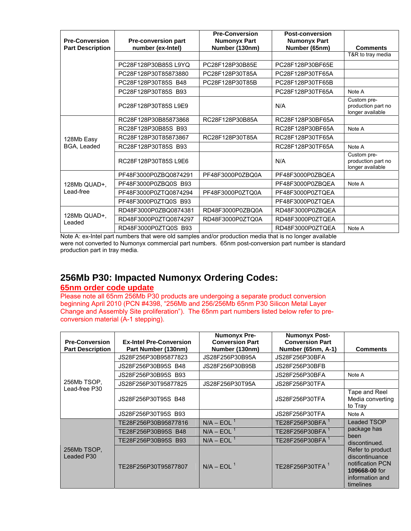| <b>Pre-Conversion</b>   | <b>Pre-conversion part</b> | <b>Pre-Conversion</b><br><b>Numonyx Part</b> | <b>Post-conversion</b><br><b>Numonyx Part</b> |                                                       |
|-------------------------|----------------------------|----------------------------------------------|-----------------------------------------------|-------------------------------------------------------|
| <b>Part Description</b> | number (ex-Intel)          | Number (130nm)                               | Number (65nm)                                 | <b>Comments</b>                                       |
|                         |                            |                                              |                                               | T&R to tray media                                     |
|                         | PC28F128P30B85SL9YQ        | PC28F128P30B85E                              | PC28F128P30BF65E                              |                                                       |
|                         | PC28F128P30T85873880       | PC28F128P30T85A                              | PC28F128P30TF65A                              |                                                       |
|                         | PC28F128P30T85S B48        | PC28F128P30T85B                              | PC28F128P30TF65B                              |                                                       |
|                         | PC28F128P30T85S B93        |                                              | PC28F128P30TF65A                              | Note A                                                |
|                         | PC28F128P30T85SL9E9        |                                              | N/A                                           | Custom pre-<br>production part no<br>longer available |
|                         | RC28F128P30B85873868       | RC28F128P30B85A                              | RC28F128P30BF65A                              |                                                       |
|                         | RC28F128P30B85S B93        |                                              | RC28F128P30BF65A                              | Note A                                                |
| 128Mb Easy              | RC28F128P30T85873867       | RC28F128P30T85A                              | RC28F128P30TF65A                              |                                                       |
| BGA, Leaded             | RC28F128P30T85S B93        |                                              | RC28F128P30TF65A                              | Note A                                                |
|                         | RC28F128P30T85SL9E6        |                                              | N/A                                           | Custom pre-<br>production part no<br>longer available |
|                         | PF48F3000P0ZBQ0874291      | PF48F3000P0ZBQ0A                             | PF48F3000P0ZBQEA                              |                                                       |
| 128Mb QUAD+,            | PF48F3000P0ZBQ0S B93       |                                              | PF48F3000P0ZBQEA                              | Note A                                                |
| Lead-free               | PF48F3000P0ZTQ0874294      | PF48F3000P0ZTQ0A                             | PF48F3000P0ZTQEA                              |                                                       |
|                         | PF48F3000P0ZTQ0S B93       |                                              | PF48F3000P0ZTQEA                              |                                                       |
|                         | RD48F3000P0ZBQ0874381      | RD48F3000P0ZBQ0A                             | RD48F3000P0ZBQEA                              |                                                       |
| 128Mb QUAD+,<br>Leaded  | RD48F3000P0ZTQ0874297      | RD48F3000P0ZTQ0A                             | RD48F3000P0ZTQEA                              |                                                       |
|                         | RD48F3000P0ZTQ0S B93       |                                              | RD48F3000P0ZTQEA                              | Note A                                                |

Note A: ex-Intel part numbers that were old samples and/or production media that is no longer available were not converted to Numonyx commercial part numbers. 65nm post-conversion part number is standard production part in tray media.

# **256Mb P30: Impacted Numonyx Ordering Codes:**

# **65nm order code update**

Please note all 65nm 256Mb P30 products are undergoing a separate product conversion beginning April 2010 (PCN #4398, "256Mb and 256/256Mb 65nm P30 Silicon Metal Layer Change and Assembly Site proliferation"). The 65nm part numbers listed below refer to preconversion material (A-1 stepping).

| <b>Pre-Conversion</b>     | <b>Ex-Intel Pre-Conversion</b> | <b>Numonyx Pre-</b><br><b>Conversion Part</b> | <b>Numonyx Post-</b><br><b>Conversion Part</b> |                                                                                                                                                                       |
|---------------------------|--------------------------------|-----------------------------------------------|------------------------------------------------|-----------------------------------------------------------------------------------------------------------------------------------------------------------------------|
| <b>Part Description</b>   | Part Number (130nm)            | Number (130nm)                                | Number (65nm, A-1)                             | <b>Comments</b>                                                                                                                                                       |
|                           | JS28F256P30B95877823           | JS28F256P30B95A                               | JS28F256P30BFA                                 |                                                                                                                                                                       |
|                           | JS28F256P30B95S B48            | JS28F256P30B95B                               | JS28F256P30BFB                                 |                                                                                                                                                                       |
|                           | JS28F256P30B95S B93            |                                               | JS28F256P30BFA                                 | Note A                                                                                                                                                                |
| 256Mb TSOP,               | JS28F256P30T95877825           | JS28F256P30T95A                               | JS28F256P30TFA                                 |                                                                                                                                                                       |
| Lead-free P30             | JS28F256P30T95S B48            |                                               | JS28F256P30TFA                                 | Tape and Reel<br>Media converting<br>to Tray                                                                                                                          |
|                           | JS28F256P30T95S B93            |                                               | JS28F256P30TFA                                 | Note A                                                                                                                                                                |
| 256Mb TSOP.<br>Leaded P30 | TE28F256P30B95877816           | $N/A - EOL1$                                  | TE28F256P30BFA <sup>1</sup>                    | <b>Leaded TSOP</b><br>package has<br>been<br>discontinued.<br>Refer to product<br>discontinuance<br>notification PCN<br>109668-00 for<br>information and<br>timelines |
|                           | TE28F256P30B95S B48            | $N/A - EOL1$                                  | TE28F256P30BFA <sup>1</sup>                    |                                                                                                                                                                       |
|                           | TE28F256P30B95S B93            | $N/A - EOL1$                                  | TE28F256P30BFA <sup>1</sup>                    |                                                                                                                                                                       |
|                           | TE28F256P30T95877807           | $N/A - EOL1$                                  | TE28F256P30TFA <sup>1</sup>                    |                                                                                                                                                                       |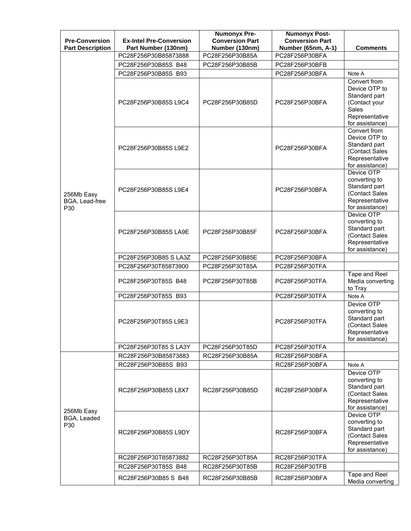| <b>Pre-Conversion</b><br><b>Part Description</b> | <b>Ex-Intel Pre-Conversion</b><br>Part Number (130nm) | <b>Numonyx Pre-</b><br><b>Conversion Part</b><br>Number (130nm) | <b>Numonyx Post-</b><br><b>Conversion Part</b><br>Number (65nm, A-1) | <b>Comments</b>                                                                                                      |
|--------------------------------------------------|-------------------------------------------------------|-----------------------------------------------------------------|----------------------------------------------------------------------|----------------------------------------------------------------------------------------------------------------------|
| 256Mb Easy<br>BGA, Lead-free<br>P30              | PC28F256P30B85873888                                  | PC28F256P30B85A                                                 | PC28F256P30BFA                                                       |                                                                                                                      |
|                                                  | PC28F256P30B85S B48                                   | PC28F256P30B85B                                                 | PC28F256P30BFB                                                       |                                                                                                                      |
|                                                  | PC28F256P30B85S B93                                   |                                                                 | PC28F256P30BFA                                                       | Note A                                                                                                               |
|                                                  | PC28F256P30B85SL9C4                                   | PC28F256P30B85D                                                 | PC28F256P30BFA                                                       | Convert from<br>Device OTP to<br>Standard part<br>(Contact your<br><b>Sales</b><br>Representative<br>for assistance) |
|                                                  | PC28F256P30B85S L9E2                                  |                                                                 | PC28F256P30BFA                                                       | Convert from<br>Device OTP to<br>Standard part<br>(Contact Sales<br>Representative<br>for assistance)                |
|                                                  | PC28F256P30B85SL9E4                                   |                                                                 | PC28F256P30BFA                                                       | Device OTP<br>converting to<br>Standard part<br>(Contact Sales<br>Representative<br>for assistance)                  |
|                                                  | PC28F256P30B85S LA9E                                  | PC28F256P30B85F                                                 | PC28F256P30BFA                                                       | Device OTP<br>converting to<br>Standard part<br>(Contact Sales<br>Representative<br>for assistance)                  |
|                                                  | PC28F256P30B85 S LA3Z                                 | PC28F256P30B85E                                                 | PC28F256P30BFA                                                       |                                                                                                                      |
|                                                  | PC28F256P30T85873900                                  | PC28F256P30T85A                                                 | PC28F256P30TFA                                                       |                                                                                                                      |
|                                                  | PC28F256P30T85S B48                                   | PC28F256P30T85B                                                 | PC28F256P30TFA                                                       | Tape and Reel<br>Media converting<br>to Tray                                                                         |
|                                                  | PC28F256P30T85S B93                                   |                                                                 | PC28F256P30TFA                                                       | Note A                                                                                                               |
|                                                  | PC28F256P30T85SL9E3                                   |                                                                 | PC28F256P30TFA                                                       | Device OTP<br>converting to<br>Standard part<br>(Contact Sales<br>Representative<br>for assistance)                  |
|                                                  | PC28F256P30T85 S LA3Y                                 | PC28F256P30T85D                                                 | PC28F256P30TFA                                                       |                                                                                                                      |
|                                                  | RC28F256P30B85873883                                  | RC28F256P30B85A                                                 | RC28F256P30BFA                                                       |                                                                                                                      |
|                                                  | RC28F256P30B85S B93                                   |                                                                 | RC28F256P30BFA                                                       | Note A                                                                                                               |
| 256Mb Easy<br>BGA, Leaded<br>P30                 | RC28F256P30B85SL8X7                                   | RC28F256P30B85D                                                 | RC28F256P30BFA                                                       | Device OTP<br>converting to<br>Standard part<br>(Contact Sales<br>Representative<br>for assistance)                  |
|                                                  | RC28F256P30B85S L9DY                                  |                                                                 | RC28F256P30BFA                                                       | Device OTP<br>converting to<br>Standard part<br>(Contact Sales<br>Representative<br>for assistance)                  |
|                                                  | RC28F256P30T85873882                                  | RC28F256P30T85A                                                 | RC28F256P30TFA                                                       |                                                                                                                      |
|                                                  | RC28F256P30T85S B48                                   | RC28F256P30T85B                                                 | RC28F256P30TFB                                                       |                                                                                                                      |
|                                                  | RC28F256P30B85 S B48                                  | RC28F256P30B85B                                                 | RC28F256P30BFA                                                       | Tape and Reel<br>Media converting                                                                                    |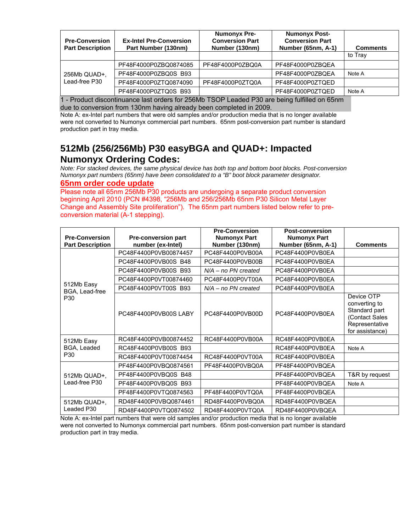| <b>Pre-Conversion</b><br><b>Part Description</b> | <b>Ex-Intel Pre-Conversion</b><br>Part Number (130nm) | <b>Numonyx Pre-</b><br><b>Conversion Part</b><br>Number (130nm) | <b>Numonyx Post-</b><br><b>Conversion Part</b><br>Number (65nm, A-1) | <b>Comments</b> |
|--------------------------------------------------|-------------------------------------------------------|-----------------------------------------------------------------|----------------------------------------------------------------------|-----------------|
|                                                  |                                                       |                                                                 |                                                                      | to Tray         |
| 256Mb QUAD+,<br>Lead-free P30                    | PF48F4000P0ZBQ0874085                                 | PF48F4000P0ZBQ0A                                                | PF48F4000P0ZBQEA                                                     |                 |
|                                                  | PF48F4000P0ZBQ0S B93                                  |                                                                 | PF48F4000P0ZBOEA                                                     | Note A          |
|                                                  | PF48F4000P0ZTQ0874090                                 | PF48F4000P0ZTQ0A                                                | PF48F4000P0ZTQED                                                     |                 |
|                                                  | PF48F4000P0ZTQ0S B93                                  |                                                                 | PF48F4000P0ZTQED                                                     | Note A          |

1 - Product discontinuance last orders for 256Mb TSOP Leaded P30 are being fulfilled on 65nm due to conversion from 130nm having already been completed in 2009.

Note A: ex-Intel part numbers that were old samples and/or production media that is no longer available were not converted to Numonyx commercial part numbers. 65nm post-conversion part number is standard production part in tray media.

# **512Mb (256/256Mb) P30 easyBGA and QUAD+: Impacted Numonyx Ordering Codes:**

*Note: For stacked devices, the same physical device has both top and bottom boot blocks. Post-conversion Numonyx part numbers (65nm) have been consolidated to a "B" boot block parameter designator.* 

#### **65nm order code update**

Please note all 65nm 256Mb P30 products are undergoing a separate product conversion beginning April 2010 (PCN #4398, "256Mb and 256/256Mb 65nm P30 Silicon Metal Layer Change and Assembly Site proliferation"). The 65nm part numbers listed below refer to preconversion material (A-1 stepping).

|                                     |                            | <b>Pre-Conversion</b> | <b>Post-conversion</b> |                                                                                                     |
|-------------------------------------|----------------------------|-----------------------|------------------------|-----------------------------------------------------------------------------------------------------|
| <b>Pre-Conversion</b>               | <b>Pre-conversion part</b> | <b>Numonyx Part</b>   | <b>Numonyx Part</b>    |                                                                                                     |
| <b>Part Description</b>             | number (ex-Intel)          | Number (130nm)        | Number (65nm, A-1)     | <b>Comments</b>                                                                                     |
|                                     | PC48F4400P0VB00874457      | PC48F4400P0VB00A      | PC48F4400P0VB0EA       |                                                                                                     |
|                                     | PC48F4400P0VB00S B48       | PC48F4400P0VB00B      | PC48F4400P0VB0EA       |                                                                                                     |
|                                     | PC48F4400P0VB00S B93       | $N/A - no PN created$ | PC48F4400P0VB0EA       |                                                                                                     |
| 512Mb Easy<br>BGA, Lead-free<br>P30 | PC48F4400P0VT00874460      | PC48F4400P0VT00A      | PC48F4400P0VB0EA       |                                                                                                     |
|                                     | PC48F4400P0VT00S B93       | $N/A - no PN created$ | PC48F4400P0VB0EA       |                                                                                                     |
|                                     | PC48F4400P0VB00SLABY       | PC48F4400P0VB00D      | PC48F4400P0VB0EA       | Device OTP<br>converting to<br>Standard part<br>(Contact Sales<br>Representative<br>for assistance) |
| 512Mb Easy                          | RC48F4400P0VB00874452      | RC48F4400P0VB00A      | RC48F4400P0VB0EA       |                                                                                                     |
| BGA, Leaded<br>P30                  | RC48F4400P0VB00S B93       |                       | RC48F4400P0VB0EA       | Note A                                                                                              |
|                                     | RC48F4400P0VT00874454      | RC48F4400P0VT00A      | RC48F4400P0VB0EA       |                                                                                                     |
| 512Mb QUAD+,<br>Lead-free P30       | PF48F4400P0VBQ0874561      | PF48F4400P0VBQ0A      | PF48F4400P0VBQEA       |                                                                                                     |
|                                     | PF48F4400P0VBQ0S B48       |                       | PF48F4400P0VBQEA       | T&R by request                                                                                      |
|                                     | PF48F4400P0VBQ0S B93       |                       | PF48F4400P0VBQEA       | Note A                                                                                              |
|                                     | PF48F4400P0VTQ0874563      | PF48F4400P0VTQ0A      | PF48F4400P0VBQEA       |                                                                                                     |
| 512Mb QUAD+,<br>Leaded P30          | RD48F4400P0VBQ0874461      | RD48F4400P0VBQ0A      | RD48F4400P0VBQEA       |                                                                                                     |
|                                     | RD48F4400P0VTQ0874502      | RD48F4400P0VTQ0A      | RD48F4400P0VBQEA       |                                                                                                     |

Note A: ex-Intel part numbers that were old samples and/or production media that is no longer available were not converted to Numonyx commercial part numbers. 65nm post-conversion part number is standard production part in tray media.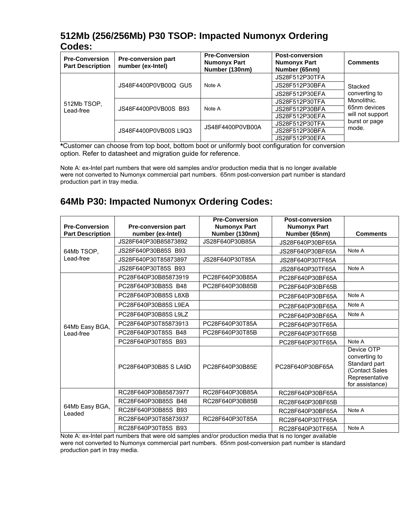# **512Mb (256/256Mb) P30 TSOP: Impacted Numonyx Ordering Codes:**

| <b>Pre-Conversion</b><br><b>Part Description</b> | <b>Pre-conversion part</b><br>number (ex-Intel) | <b>Pre-Conversion</b><br><b>Numonyx Part</b><br>Number (130nm) | <b>Post-conversion</b><br><b>Numonyx Part</b><br>Number (65nm) | <b>Comments</b>                  |
|--------------------------------------------------|-------------------------------------------------|----------------------------------------------------------------|----------------------------------------------------------------|----------------------------------|
| 512Mb TSOP,<br>Lead-free                         | JS48F4400P0VB00Q GU5                            |                                                                | JS28F512P30TFA                                                 |                                  |
|                                                  |                                                 | JS28F512P30BFA<br>Note A<br>JS28F512P30EFA                     | Stacked                                                        |                                  |
|                                                  |                                                 |                                                                |                                                                | converting to                    |
|                                                  | JS48F4400P0VB00S B93                            |                                                                | JS28F512P30TFA                                                 | Monolithic.                      |
|                                                  |                                                 | Note A                                                         | JS28F512P30BFA                                                 | 65nm devices<br>will not support |
|                                                  |                                                 |                                                                | JS28F512P30EFA                                                 |                                  |
|                                                  | JS48F4400P0VB00S L9Q3                           | JS48F4400P0VB00A                                               | JS28F512P30TFA                                                 | burst or page                    |
|                                                  |                                                 |                                                                | JS28F512P30BFA                                                 | mode.                            |
|                                                  |                                                 |                                                                | JS28F512P30EFA                                                 |                                  |

**\***Customer can choose from top boot, bottom boot or uniformly boot configuration for conversion option. Refer to datasheet and migration guide for reference.

Note A: ex-Intel part numbers that were old samples and/or production media that is no longer available were not converted to Numonyx commercial part numbers. 65nm post-conversion part number is standard production part in tray media.

# **64Mb P30: Impacted Numonyx Ordering Codes:**

|                          |                            | <b>Pre-Conversion</b> | <b>Post-conversion</b> |                                                                                                     |
|--------------------------|----------------------------|-----------------------|------------------------|-----------------------------------------------------------------------------------------------------|
| <b>Pre-Conversion</b>    | <b>Pre-conversion part</b> | <b>Numonyx Part</b>   | <b>Numonyx Part</b>    |                                                                                                     |
| <b>Part Description</b>  | number (ex-Intel)          | Number (130nm)        | Number (65nm)          | <b>Comments</b>                                                                                     |
|                          | JS28F640P30B85873892       | JS28F640P30B85A       | JS28F640P30BF65A       |                                                                                                     |
| 64Mb TSOP,<br>Lead-free  | JS28F640P30B85S B93        |                       | JS28F640P30BF65A       | Note A                                                                                              |
|                          | JS28F640P30T85873897       | JS28F640P30T85A       | JS28F640P30TF65A       |                                                                                                     |
|                          | JS28F640P30T85S B93        |                       | JS28F640P30TF65A       | Note A                                                                                              |
|                          | PC28F640P30B85873919       | PC28F640P30B85A       | PC28F640P30BF65A       |                                                                                                     |
|                          | PC28F640P30B85S B48        | PC28F640P30B85B       | PC28F640P30BF65B       |                                                                                                     |
|                          | PC28F640P30B85SL8XB        |                       | PC28F640P30BF65A       | Note A                                                                                              |
|                          | PC28F640P30B85S L9EA       |                       | PC28F640P30BF65A       | Note A                                                                                              |
|                          | PC28F640P30B85S L9LZ       |                       | PC28F640P30BF65A       | Note A                                                                                              |
| 64Mb Easy BGA,           | PC28F640P30T85873913       | PC28F640P30T85A       | PC28F640P30TF65A       |                                                                                                     |
| Lead-free                | PC28F640P30T85S B48        | PC28F640P30T85B       | PC28F640P30TF65B       |                                                                                                     |
|                          | PC28F640P30T85S B93        |                       | PC28F640P30TF65A       | Note A                                                                                              |
|                          | PC28F640P30B85 SLA9D       | PC28F640P30B85E       | PC28F640P30BF65A       | Device OTP<br>converting to<br>Standard part<br>(Contact Sales<br>Representative<br>for assistance) |
| 64Mb Easy BGA,<br>Leaded | RC28F640P30B85873977       | RC28F640P30B85A       | RC28F640P30BF65A       |                                                                                                     |
|                          | RC28F640P30B85S B48        | RC28F640P30B85B       | RC28F640P30BF65B       |                                                                                                     |
|                          | RC28F640P30B85S B93        |                       | RC28F640P30BF65A       | Note A                                                                                              |
|                          | RC28F640P30T85873937       | RC28F640P30T85A       | RC28F640P30TF65A       |                                                                                                     |
|                          | RC28F640P30T85S B93        |                       | RC28F640P30TF65A       | Note A                                                                                              |

Note A: ex-Intel part numbers that were old samples and/or production media that is no longer available were not converted to Numonyx commercial part numbers. 65nm post-conversion part number is standard production part in tray media.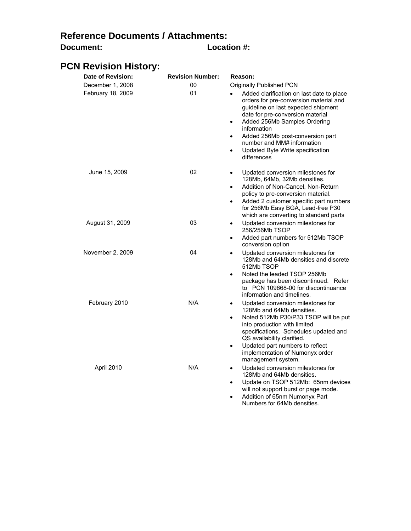# **Reference Documents / Attachments: Document: Location #:**

# **PCN Revision History:**

| Date of Revision: | <b>Revision Number:</b> | Reason:                                                                                                                                                                                                                                                                                                                                                           |
|-------------------|-------------------------|-------------------------------------------------------------------------------------------------------------------------------------------------------------------------------------------------------------------------------------------------------------------------------------------------------------------------------------------------------------------|
| December 1, 2008  | 00                      | Originally Published PCN                                                                                                                                                                                                                                                                                                                                          |
| February 18, 2009 | 01                      | Added clarification on last date to place<br>orders for pre-conversion material and<br>guideline on last expected shipment<br>date for pre-conversion material<br>Added 256Mb Samples Ordering<br>$\bullet$<br>information<br>Added 256Mb post-conversion part<br>٠<br>number and MM# information<br>Updated Byte Write specification<br>$\bullet$<br>differences |
| June 15, 2009     | 02                      | Updated conversion milestones for<br>$\bullet$<br>128Mb, 64Mb, 32Mb densities.<br>Addition of Non-Cancel, Non-Return<br>$\bullet$<br>policy to pre-conversion material.<br>Added 2 customer specific part numbers<br>$\bullet$<br>for 256Mb Easy BGA, Lead-free P30<br>which are converting to standard parts                                                     |
| August 31, 2009   | 03                      | Updated conversion milestones for<br>$\bullet$<br>256/256Mb TSOP<br>Added part numbers for 512Mb TSOP<br>$\bullet$<br>conversion option                                                                                                                                                                                                                           |
| November 2, 2009  | 04                      | Updated conversion milestones for<br>$\bullet$<br>128Mb and 64Mb densities and discrete<br>512Mb TSOP<br>Noted the leaded TSOP 256Mb<br>$\bullet$<br>package has been discontinued. Refer<br>to PCN 109668-00 for discontinuance<br>information and timelines.                                                                                                    |
| February 2010     | N/A                     | Updated conversion milestones for<br>٠<br>128Mb and 64Mb densities.<br>Noted 512Mb P30/P33 TSOP will be put<br>$\bullet$<br>into production with limited<br>specifications. Schedules updated and<br>QS availability clarified.<br>Updated part numbers to reflect<br>$\bullet$<br>implementation of Numonyx order<br>management system.                          |
| April 2010        | N/A                     | Updated conversion milestones for<br>$\bullet$<br>128Mb and 64Mb densities.<br>Update on TSOP 512Mb: 65nm devices<br>٠<br>will not support burst or page mode.                                                                                                                                                                                                    |

• Addition of 65nm Numonyx Part Numbers for 64Mb densities.